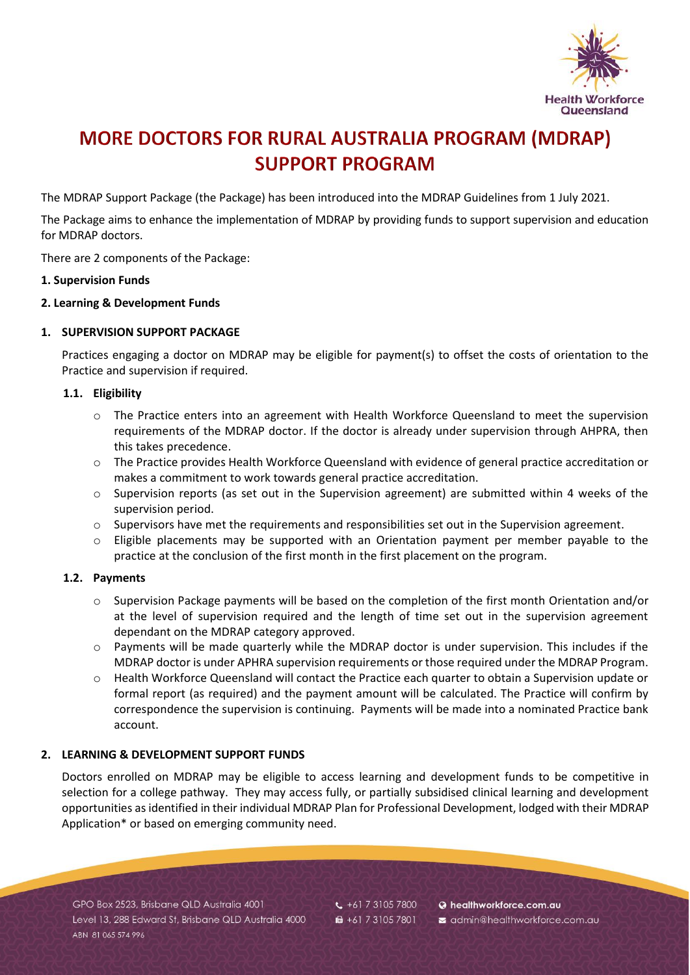

# **MORE DOCTORS FOR RURAL AUSTRALIA PROGRAM (MDRAP) SUPPORT PROGRAM**

The MDRAP Support Package (the Package) has been introduced into the MDRAP Guidelines from 1 July 2021.

The Package aims to enhance the implementation of MDRAP by providing funds to support supervision and education for MDRAP doctors.

There are 2 components of the Package:

#### **1. Supervision Funds**

# **2. Learning & Development Funds**

# **1. SUPERVISION SUPPORT PACKAGE**

Practices engaging a doctor on MDRAP may be eligible for payment(s) to offset the costs of orientation to the Practice and supervision if required.

#### **1.1. Eligibility**

- o The Practice enters into an agreement with Health Workforce Queensland to meet the supervision requirements of the MDRAP doctor. If the doctor is already under supervision through AHPRA, then this takes precedence.
- o The Practice provides Health Workforce Queensland with evidence of general practice accreditation or makes a commitment to work towards general practice accreditation.
- $\circ$  Supervision reports (as set out in the Supervision agreement) are submitted within 4 weeks of the supervision period.
- o Supervisors have met the requirements and responsibilities set out in the Supervision agreement.
- o Eligible placements may be supported with an Orientation payment per member payable to the practice at the conclusion of the first month in the first placement on the program.

# **1.2. Payments**

- $\circ$  Supervision Package payments will be based on the completion of the first month Orientation and/or at the level of supervision required and the length of time set out in the supervision agreement dependant on the MDRAP category approved.
- o Payments will be made quarterly while the MDRAP doctor is under supervision. This includes if the MDRAP doctor is under APHRA supervision requirements or those required under the MDRAP Program.
- o Health Workforce Queensland will contact the Practice each quarter to obtain a Supervision update or formal report (as required) and the payment amount will be calculated. The Practice will confirm by correspondence the supervision is continuing. Payments will be made into a nominated Practice bank account.

# **2. LEARNING & DEVELOPMENT SUPPORT FUNDS**

Doctors enrolled on MDRAP may be eligible to access learning and development funds to be competitive in selection for a college pathway. They may access fully, or partially subsidised clinical learning and development opportunities as identified in their individual MDRAP Plan for Professional Development, lodged with their MDRAP Application\* or based on emerging community need.

GPO Box 2523, Brisbane QLD Australia 4001 Level 13, 288 Edward St, Brisbane QLD Australia 4000 ARN 81 065 574 996

 $\frac{1}{2}$  +61 7 3105 7800 ■ +61 7 3105 7801

**a** healthworkforce.com.au admin@healthworkforce.com.au